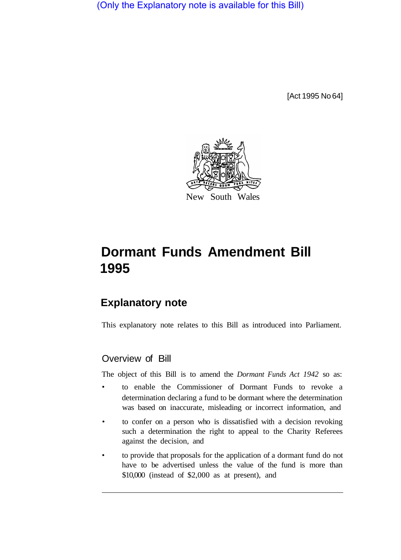(Only the Explanatory note is available for this Bill)

[Act 1995 No 64]



# **Dormant Funds Amendment Bill 1995**

## **Explanatory note**

This explanatory note relates to this Bill as introduced into Parliament.

### Overview of Bill

The object of this Bill is to amend the *Dormant Funds Act 1942* so as:

- to enable the Commissioner of Dormant Funds to revoke a determination declaring a fund to be dormant where the determination was based on inaccurate, misleading or incorrect information, and
- to confer on a person who is dissatisfied with a decision revoking such a determination the right to appeal to the Charity Referees against the decision, and
- to provide that proposals for the application of a dormant fund do not have to be advertised unless the value of the fund is more than \$10,000 (instead of \$2,000 as at present), and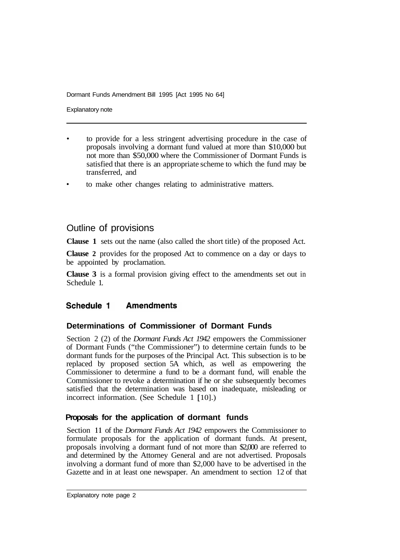Dormant Funds Amendment Bill 1995 [Act 1995 No 64]

Explanatory note

- to provide for a less stringent advertising procedure in the case of proposals involving a dormant fund valued at more than \$10,000 but not more than \$50,000 where the Commissioner of Dormant Funds is satisfied that there is an appropriate scheme to which the fund may be transferred, and
- to make other changes relating to administrative matters.

### Outline of provisions

**Clause 1** sets out the name (also called the short title) of the proposed Act.

**Clause 2** provides for the proposed Act to commence on a day or days to be appointed by proclamation.

**Clause 3** is a formal provision giving effect to the amendments set out in Schedule 1.

#### Schedule 1 **Amendments**

### **Determinations of Commissioner of Dormant Funds**

Section 2 (2) of the *Dormant Funds Act 1942* empowers the Commissioner of Dormant Funds ("the Commissioner") to determine certain funds to be dormant funds for the purposes of the Principal Act. This subsection is to be replaced by proposed section 5A which, as well as empowering the Commissioner to determine a fund to be a dormant fund, will enable the Commissioner to revoke a determination if he or she subsequently becomes satisfied that the determination was based on inadequate, misleading or incorrect information. (See Schedule 1 [ 10].)

### **Proposals for the application of dormant funds**

Section **11** of the *Dormant Funds Act 1942* empowers the Commissioner to formulate proposals for the application of dormant funds. At present, proposals involving a dormant fund of not more than \$2,000 are referred to and determined by the Attorney General and are not advertised. Proposals involving a dormant fund of more than \$2,000 have to be advertised in the Gazette and in at least one newspaper. An amendment to section 12 of that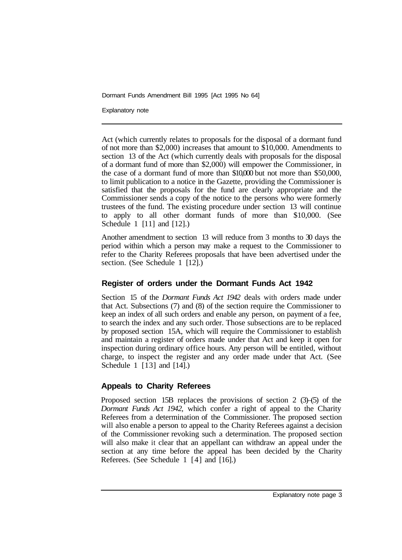Dormant Funds Amendment Bill 1995 [Act 1995 No 64]

Explanatory note

Act (which currently relates to proposals for the disposal of a dormant fund of not more than \$2,000) increases that amount to \$10,000. Amendments to section 13 of the Act (which currently deals with proposals for the disposal of a dormant fund of more than \$2,000) will empower the Commissioner, in the case of a dormant fund of more than \$10,000 but not more than \$50,000, to limit publication to a notice in the Gazette, providing the Commissioner is satisfied that the proposals for the fund are clearly appropriate and the Commissioner sends a copy of the notice to the persons who were formerly trustees of the fund. The existing procedure under section 13 will continue to apply to all other dormant funds of more than \$10,000. (See Schedule 1 [11] and [12].)

Another amendment to section 13 will reduce from 3 months to 30 days the period within which a person may make a request to the Commissioner to refer to the Charity Referees proposals that have been advertised under the section. (See Schedule 1 [12].)

#### **Register of orders under the Dormant Funds Act 1942**

Section 15 of the *Dormant Funds Act 1942* deals with orders made under that Act. Subsections (7) and (8) of the section require the Commissioner to keep an index of all such orders and enable any person, on payment of a fee, to search the index and any such order. Those subsections are to be replaced by proposed section 15A, which will require the Commissioner to establish and maintain a register of orders made under that Act and keep it open for inspection during ordinary office hours. Any person will be entitled, without charge, to inspect the register and any order made under that Act. (See Schedule 1 [13] and [14].)

### **Appeals to Charity Referees**

Proposed section 15B replaces the provisions of section 2 (3)–(5) of the *Dormant Funds Act 1942,* which confer a right of appeal to the Charity Referees from a determination of the Commissioner. The proposed section will also enable a person to appeal to the Charity Referees against a decision of the Commissioner revoking such a determination. The proposed section will also make it clear that an appellant can withdraw an appeal under the section at any time before the appeal has been decided by the Charity Referees. (See Schedule 1 [4] and [16].)